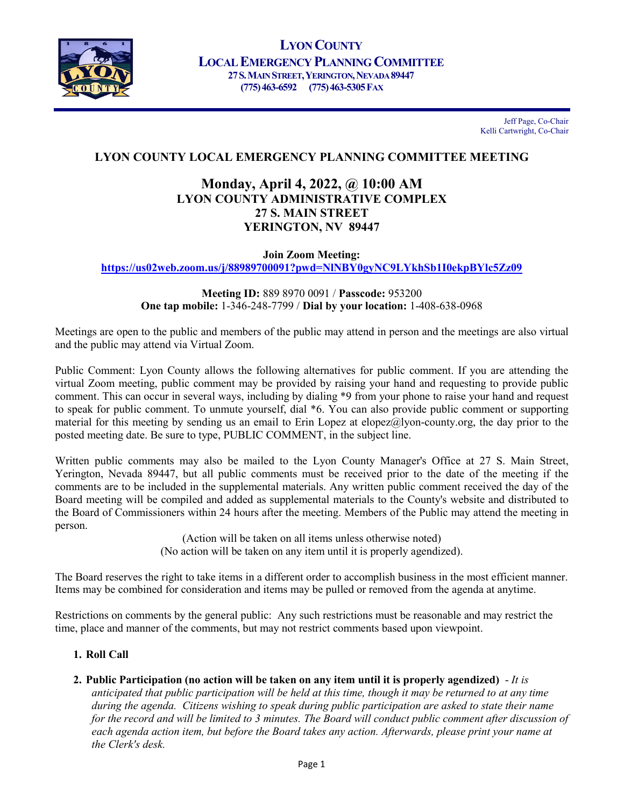

Jeff Page, Co-Chair Kelli Cartwright, Co-Chair

# **LYON COUNTY LOCAL EMERGENCY PLANNING COMMITTEE MEETING**

# **Monday, April 4, 2022, @ 10:00 AM LYON COUNTY ADMINISTRATIVE COMPLEX 27 S. MAIN STREET YERINGTON, NV 89447**

**Join Zoom Meeting:** 

**<https://us02web.zoom.us/j/88989700091?pwd=NlNBY0gyNC9LYkhSb1I0ekpBYlc5Zz09>**

**Meeting ID:** 889 8970 0091 / **Passcode:** 953200 **One tap mobile:** 1-346-248-7799 / **Dial by your location:** 1-408-638-0968

Meetings are open to the public and members of the public may attend in person and the meetings are also virtual and the public may attend via Virtual Zoom.

Public Comment: Lyon County allows the following alternatives for public comment. If you are attending the virtual Zoom meeting, public comment may be provided by raising your hand and requesting to provide public comment. This can occur in several ways, including by dialing \*9 from your phone to raise your hand and request to speak for public comment. To unmute yourself, dial \*6. You can also provide public comment or supporting material for this meeting by sending us an email to Erin Lopez at elopez@lyon-county.org, the day prior to the posted meeting date. Be sure to type, PUBLIC COMMENT, in the subject line.

Written public comments may also be mailed to the Lyon County Manager's Office at 27 S. Main Street, Yerington, Nevada 89447, but all public comments must be received prior to the date of the meeting if the comments are to be included in the supplemental materials. Any written public comment received the day of the Board meeting will be compiled and added as supplemental materials to the County's website and distributed to the Board of Commissioners within 24 hours after the meeting. Members of the Public may attend the meeting in person.

> (Action will be taken on all items unless otherwise noted) (No action will be taken on any item until it is properly agendized).

The Board reserves the right to take items in a different order to accomplish business in the most efficient manner. Items may be combined for consideration and items may be pulled or removed from the agenda at anytime.

Restrictions on comments by the general public: Any such restrictions must be reasonable and may restrict the time, place and manner of the comments, but may not restrict comments based upon viewpoint.

## **1. Roll Call**

**2. Public Participation (no action will be taken on any item until it is properly agendized)** - *It is* 

*anticipated that public participation will be held at this time, though it may be returned to at any time during the agenda. Citizens wishing to speak during public participation are asked to state their name for the record and will be limited to 3 minutes. The Board will conduct public comment after discussion of*  each agenda action item, but before the Board takes any action. Afterwards, please print your name at *the Clerk's desk.*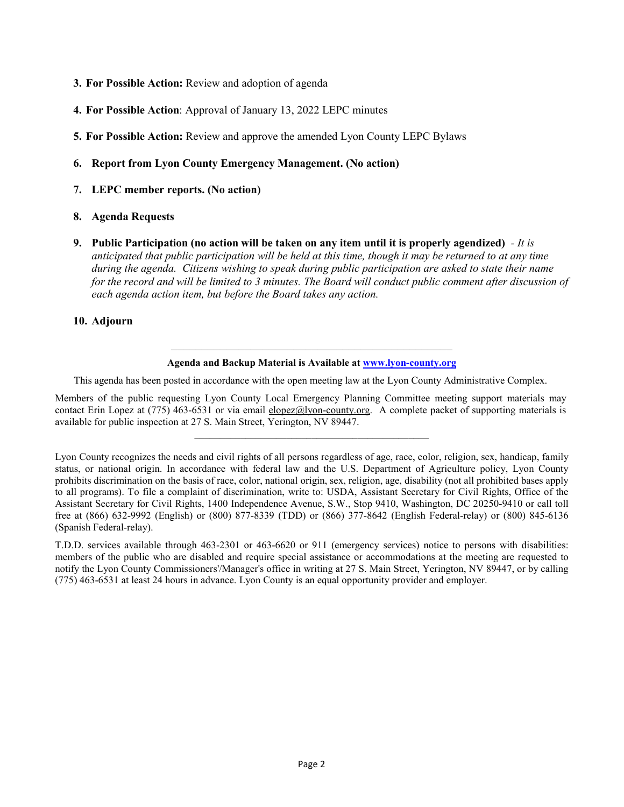- **3. For Possible Action:** Review and adoption of agenda
- **4. For Possible Action**: Approval of January 13, 2022 LEPC minutes
- **5. For Possible Action:** Review and approve the amended Lyon County LEPC Bylaws

#### **6. Report from Lyon County Emergency Management. (No action)**

**7. LEPC member reports. (No action)**

#### **8. Agenda Requests**

**9. Public Participation (no action will be taken on any item until it is properly agendized)** *- It is anticipated that public participation will be held at this time, though it may be returned to at any time during the agenda. Citizens wishing to speak during public participation are asked to state their name for the record and will be limited to 3 minutes. The Board will conduct public comment after discussion of each agenda action item, but before the Board takes any action.*

#### **10. Adjourn**

# $\mathcal{L}_\mathcal{L}$ **Agenda and Backup Material is Available at [www.lyon-county.org](http://www.lyon-county.org/)**

This agenda has been posted in accordance with the open meeting law at the Lyon County Administrative Complex.

Members of the public requesting Lyon County Local Emergency Planning Committee meeting support materials may contact Erin Lopez at (775) 463-6531 or via email [elopez@lyon-county.org.](mailto:elopez@lyon-county.org) A complete packet of supporting materials is available for public inspection at 27 S. Main Street, Yerington, NV 89447.

 $\mathcal{L}_\mathcal{L} = \{ \mathcal{L}_\mathcal{L} = \{ \mathcal{L}_\mathcal{L} = \{ \mathcal{L}_\mathcal{L} = \{ \mathcal{L}_\mathcal{L} = \{ \mathcal{L}_\mathcal{L} = \{ \mathcal{L}_\mathcal{L} = \{ \mathcal{L}_\mathcal{L} = \{ \mathcal{L}_\mathcal{L} = \{ \mathcal{L}_\mathcal{L} = \{ \mathcal{L}_\mathcal{L} = \{ \mathcal{L}_\mathcal{L} = \{ \mathcal{L}_\mathcal{L} = \{ \mathcal{L}_\mathcal{L} = \{ \mathcal{L}_\mathcal{$ 

Lyon County recognizes the needs and civil rights of all persons regardless of age, race, color, religion, sex, handicap, family status, or national origin. In accordance with federal law and the U.S. Department of Agriculture policy, Lyon County prohibits discrimination on the basis of race, color, national origin, sex, religion, age, disability (not all prohibited bases apply to all programs). To file a complaint of discrimination, write to: USDA, Assistant Secretary for Civil Rights, Office of the Assistant Secretary for Civil Rights, 1400 Independence Avenue, S.W., Stop 9410, Washington, DC 20250-9410 or call toll free at (866) 632-9992 (English) or (800) 877-8339 (TDD) or (866) 377-8642 (English Federal-relay) or (800) 845-6136 (Spanish Federal-relay).

T.D.D. services available through 463-2301 or 463-6620 or 911 (emergency services) notice to persons with disabilities: members of the public who are disabled and require special assistance or accommodations at the meeting are requested to notify the Lyon County Commissioners'/Manager's office in writing at 27 S. Main Street, Yerington, NV 89447, or by calling (775) 463-6531 at least 24 hours in advance. Lyon County is an equal opportunity provider and employer.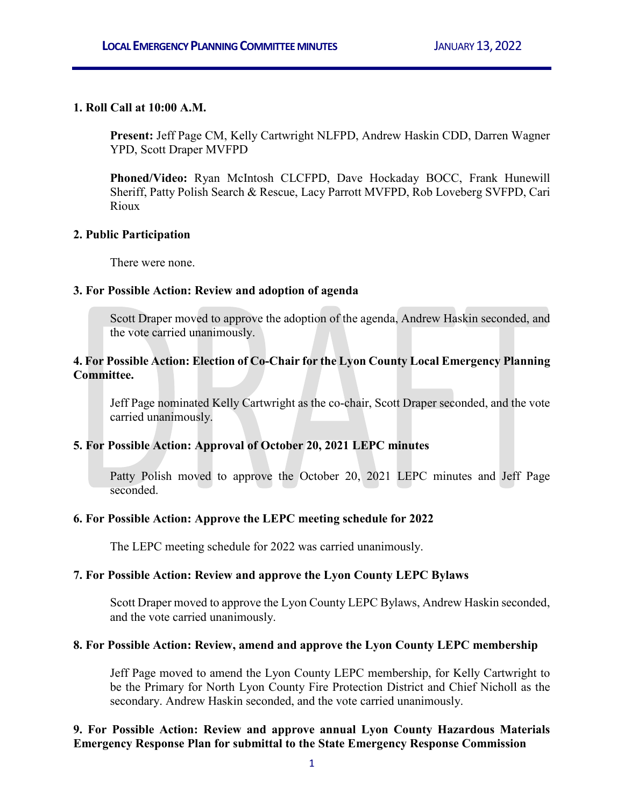## **1. Roll Call at 10:00 A.M.**

**Present:** Jeff Page CM, Kelly Cartwright NLFPD, Andrew Haskin CDD, Darren Wagner YPD, Scott Draper MVFPD

**Phoned/Video:** Ryan McIntosh CLCFPD, Dave Hockaday BOCC, Frank Hunewill Sheriff, Patty Polish Search & Rescue, Lacy Parrott MVFPD, Rob Loveberg SVFPD, Cari Rioux

## **2. Public Participation**

There were none.

## **3. For Possible Action: Review and adoption of agenda**

Scott Draper moved to approve the adoption of the agenda, Andrew Haskin seconded, and the vote carried unanimously.

## **4. For Possible Action: Election of Co-Chair for the Lyon County Local Emergency Planning Committee.**

Jeff Page nominated Kelly Cartwright as the co-chair, Scott Draper seconded, and the vote carried unanimously.

## **5. For Possible Action: Approval of October 20, 2021 LEPC minutes**

Patty Polish moved to approve the October 20, 2021 LEPC minutes and Jeff Page seconded.

## **6. For Possible Action: Approve the LEPC meeting schedule for 2022**

The LEPC meeting schedule for 2022 was carried unanimously.

## **7. For Possible Action: Review and approve the Lyon County LEPC Bylaws**

Scott Draper moved to approve the Lyon County LEPC Bylaws, Andrew Haskin seconded, and the vote carried unanimously.

## **8. For Possible Action: Review, amend and approve the Lyon County LEPC membership**

Jeff Page moved to amend the Lyon County LEPC membership, for Kelly Cartwright to be the Primary for North Lyon County Fire Protection District and Chief Nicholl as the secondary. Andrew Haskin seconded, and the vote carried unanimously.

## **9. For Possible Action: Review and approve annual Lyon County Hazardous Materials Emergency Response Plan for submittal to the State Emergency Response Commission**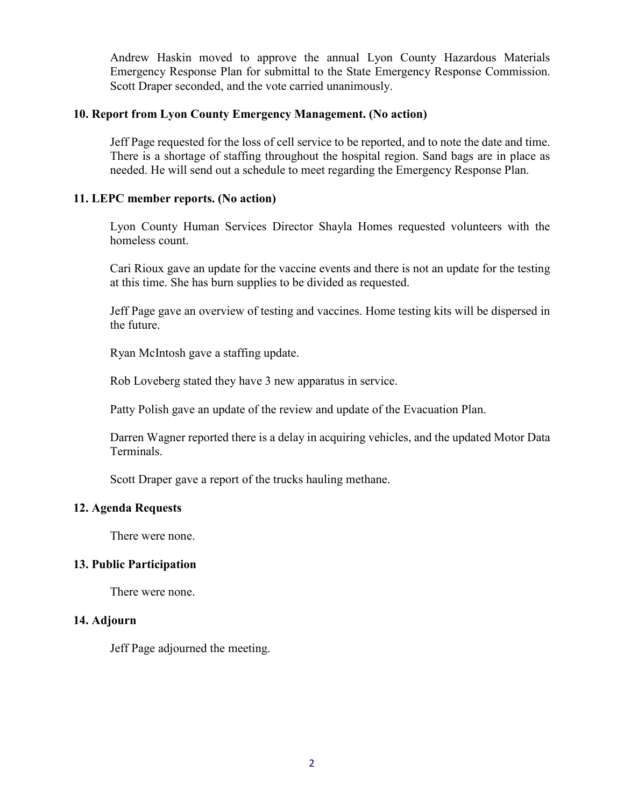Andrew Haskin moved to approve the annual Lyon County Hazardous Materials Emergency Response Plan for submittal to the State Emergency Response Commission. Scott Draper seconded, and the vote carried unanimously.

## **10. Report from Lyon County Emergency Management. (No action)**

Jeff Page requested for the loss of cell service to be reported, and to note the date and time. There is a shortage of staffing throughout the hospital region. Sand bags are in place as needed. He will send out a schedule to meet regarding the Emergency Response Plan.

## **11. LEPC member reports. (No action)**

Lyon County Human Services Director Shayla Homes requested volunteers with the homeless count.

Cari Rioux gave an update for the vaccine events and there is not an update for the testing at this time. She has burn supplies to be divided as requested.

Jeff Page gave an overview of testing and vaccines. Home testing kits will be dispersed in the future.

Ryan McIntosh gave a staffing update.

Rob Loveberg stated they have 3 new apparatus in service.

Patty Polish gave an update of the review and update of the Evacuation Plan.

Darren Wagner reported there is a delay in acquiring vehicles, and the updated Motor Data Terminals.

Scott Draper gave a report of the trucks hauling methane.

## **12. Agenda Requests**

There were none.

## **13. Public Participation**

There were none.

### **14. Adjourn**

Jeff Page adjourned the meeting.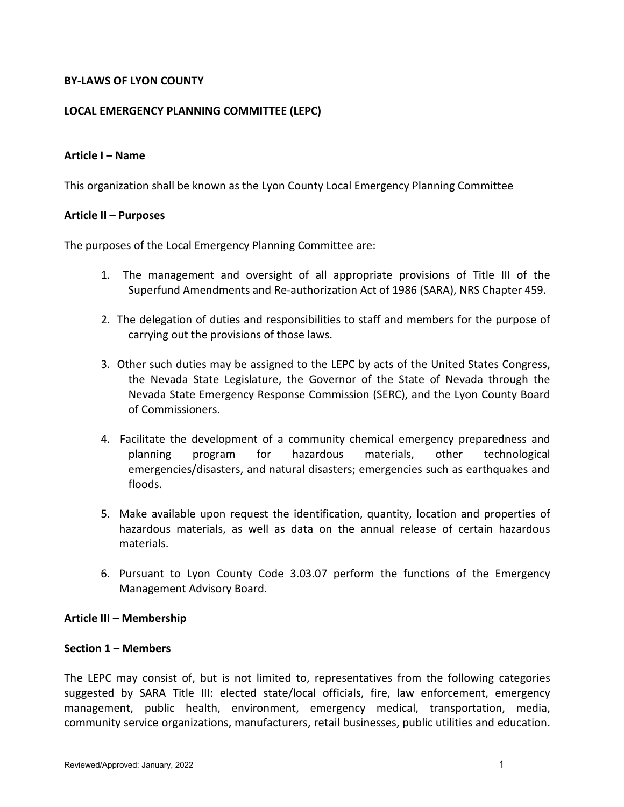## **BY-LAWS OF LYON COUNTY**

## **LOCAL EMERGENCY PLANNING COMMITTEE (LEPC)**

### **Article I – Name**

This organization shall be known as the Lyon County Local Emergency Planning Committee

### **Article II – Purposes**

The purposes of the Local Emergency Planning Committee are:

- 1. The management and oversight of all appropriate provisions of Title III of the Superfund Amendments and Re-authorization Act of 1986 (SARA), NRS Chapter 459.
- 2. The delegation of duties and responsibilities to staff and members for the purpose of carrying out the provisions of those laws.
- 3. Other such duties may be assigned to the LEPC by acts of the United States Congress, the Nevada State Legislature, the Governor of the State of Nevada through the Nevada State Emergency Response Commission (SERC), and the Lyon County Board of Commissioners.
- 4. Facilitate the development of a community chemical emergency preparedness and planning program for hazardous materials, other technological emergencies/disasters, and natural disasters; emergencies such as earthquakes and floods.
- 5. Make available upon request the identification, quantity, location and properties of hazardous materials, as well as data on the annual release of certain hazardous materials.
- 6. Pursuant to Lyon County Code 3.03.07 perform the functions of the Emergency Management Advisory Board.

### **Article III – Membership**

### **Section 1 – Members**

The LEPC may consist of, but is not limited to, representatives from the following categories suggested by SARA Title III: elected state/local officials, fire, law enforcement, emergency management, public health, environment, emergency medical, transportation, media, community service organizations, manufacturers, retail businesses, public utilities and education.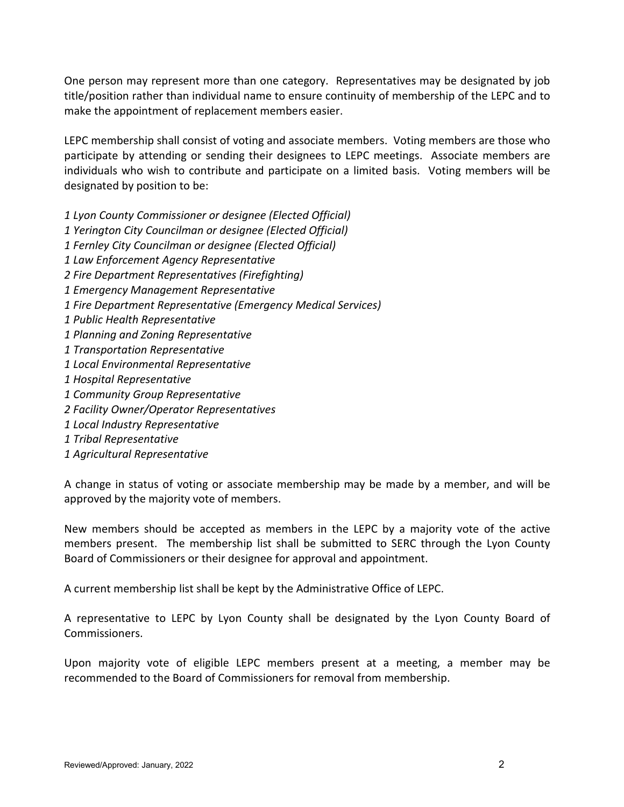One person may represent more than one category. Representatives may be designated by job title/position rather than individual name to ensure continuity of membership of the LEPC and to make the appointment of replacement members easier.

LEPC membership shall consist of voting and associate members. Voting members are those who participate by attending or sending their designees to LEPC meetings. Associate members are individuals who wish to contribute and participate on a limited basis. Voting members will be designated by position to be:

*1 Lyon County Commissioner or designee (Elected Official) 1 Yerington City Councilman or designee (Elected Official) 1 Fernley City Councilman or designee (Elected Official) 1 Law Enforcement Agency Representative 2 Fire Department Representatives (Firefighting) 1 Emergency Management Representative 1 Fire Department Representative (Emergency Medical Services) 1 Public Health Representative 1 Planning and Zoning Representative 1 Transportation Representative 1 Local Environmental Representative 1 Hospital Representative 1 Community Group Representative 2 Facility Owner/Operator Representatives 1 Local Industry Representative 1 Tribal Representative 1 Agricultural Representative*

A change in status of voting or associate membership may be made by a member, and will be approved by the majority vote of members.

New members should be accepted as members in the LEPC by a majority vote of the active members present. The membership list shall be submitted to SERC through the Lyon County Board of Commissioners or their designee for approval and appointment.

A current membership list shall be kept by the Administrative Office of LEPC.

A representative to LEPC by Lyon County shall be designated by the Lyon County Board of Commissioners.

Upon majority vote of eligible LEPC members present at a meeting, a member may be recommended to the Board of Commissioners for removal from membership.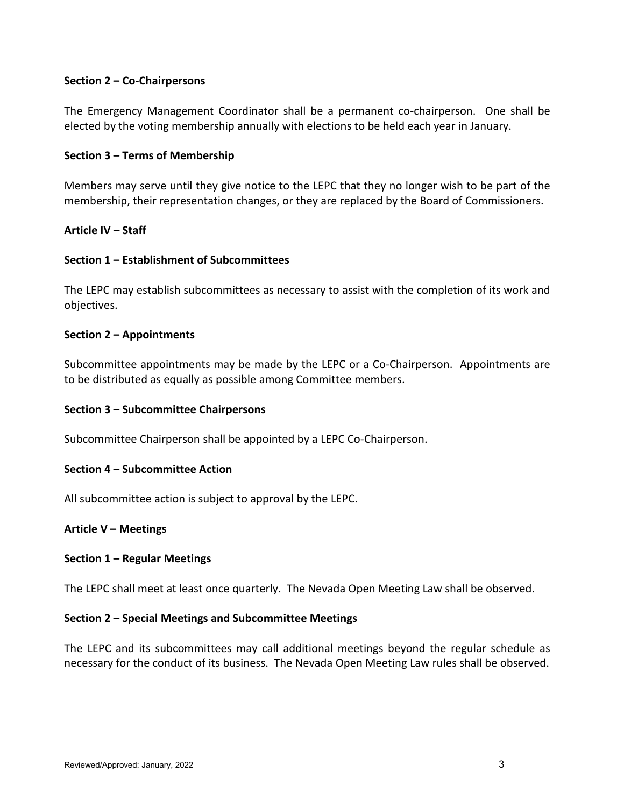## **Section 2 – Co-Chairpersons**

The Emergency Management Coordinator shall be a permanent co-chairperson. One shall be elected by the voting membership annually with elections to be held each year in January.

## **Section 3 – Terms of Membership**

Members may serve until they give notice to the LEPC that they no longer wish to be part of the membership, their representation changes, or they are replaced by the Board of Commissioners.

## **Article IV – Staff**

## **Section 1 – Establishment of Subcommittees**

The LEPC may establish subcommittees as necessary to assist with the completion of its work and objectives.

## **Section 2 – Appointments**

Subcommittee appointments may be made by the LEPC or a Co-Chairperson. Appointments are to be distributed as equally as possible among Committee members.

### **Section 3 – Subcommittee Chairpersons**

Subcommittee Chairperson shall be appointed by a LEPC Co-Chairperson.

### **Section 4 – Subcommittee Action**

All subcommittee action is subject to approval by the LEPC.

## **Article V – Meetings**

### **Section 1 – Regular Meetings**

The LEPC shall meet at least once quarterly. The Nevada Open Meeting Law shall be observed.

### **Section 2 – Special Meetings and Subcommittee Meetings**

The LEPC and its subcommittees may call additional meetings beyond the regular schedule as necessary for the conduct of its business. The Nevada Open Meeting Law rules shall be observed.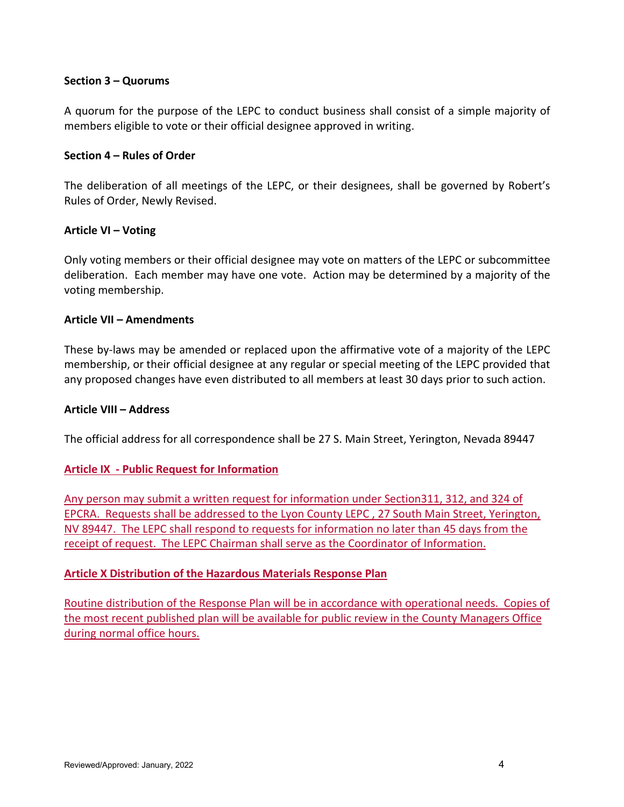## **Section 3 – Quorums**

A quorum for the purpose of the LEPC to conduct business shall consist of a simple majority of members eligible to vote or their official designee approved in writing.

## **Section 4 – Rules of Order**

The deliberation of all meetings of the LEPC, or their designees, shall be governed by Robert's Rules of Order, Newly Revised.

## **Article VI – Voting**

Only voting members or their official designee may vote on matters of the LEPC or subcommittee deliberation. Each member may have one vote. Action may be determined by a majority of the voting membership.

## **Article VII – Amendments**

These by-laws may be amended or replaced upon the affirmative vote of a majority of the LEPC membership, or their official designee at any regular or special meeting of the LEPC provided that any proposed changes have even distributed to all members at least 30 days prior to such action.

### **Article VIII – Address**

The official address for all correspondence shall be 27 S. Main Street, Yerington, Nevada 89447

## **Article IX - Public Request for Information**

Any person may submit a written request for information under Section311, 312, and 324 of EPCRA. Requests shall be addressed to the Lyon County LEPC , 27 South Main Street, Yerington, NV 89447. The LEPC shall respond to requests for information no later than 45 days from the receipt of request. The LEPC Chairman shall serve as the Coordinator of Information.

## **Article X Distribution of the Hazardous Materials Response Plan**

Routine distribution of the Response Plan will be in accordance with operational needs. Copies of the most recent published plan will be available for public review in the County Managers Office during normal office hours.